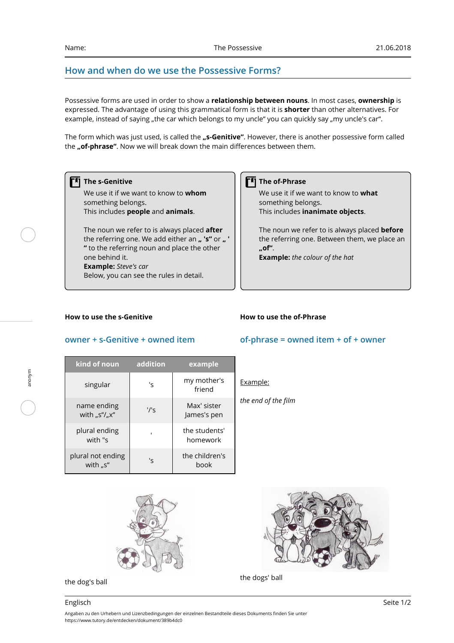### **How and when do we use the Possessive Forms?**

Possessive forms are used in order to show a **relationship between nouns**. In most cases, **ownership** is expressed. The advantage of using this grammatical form is that it is **shorter** than other alternatives. For example, instead of saying "the car which belongs to my uncle" you can quickly say "my uncle's car".

The form which was just used, is called the **"s-Genitive"**. However, there is another possessive form called the **"of-phrase**". Now we will break down the main differences between them.



The noun we refer to is always placed **after** the referring one. We add either an , 's" or , ' **"** to the referring noun and place the other one behind it. **Example:** *Steve's car* Below, you can see the rules in detail.

# **The of-Phrase**

We use it if we want to know to **what** something belongs. This includes **inanimate objects**.

The noun we refer to is always placed **before** the referring one. Between them, we place an **"of"**. **Example:** *the colour of the hat*

### **How to use the s-Genitive**

### **How to use the of-Phrase**

Example:

*the end of the film*

### **owner + s-Genitive + owned item of-phrase = owned item + of + owner**

| kind of noun                    | addition | example                    |
|---------------------------------|----------|----------------------------|
| singular                        | 's       | my mother's<br>friend      |
| name ending<br>with $nS''/nX''$ | $'$ 'S   | Max' sister<br>James's pen |
| plural ending<br>with "s        | Ĩ.       | the students'<br>homework  |
| plural not ending<br>with "s"   | 'ς       | the children's<br>hook     |



anonym

the dog's ball the dogs' ball

Angaben zu den Urhebern und Lizenzbedingungen der einzelnen Bestandteile dieses Dokuments finden Sie unter https://www.tutory.de/entdecken/dokument/389b4dc0